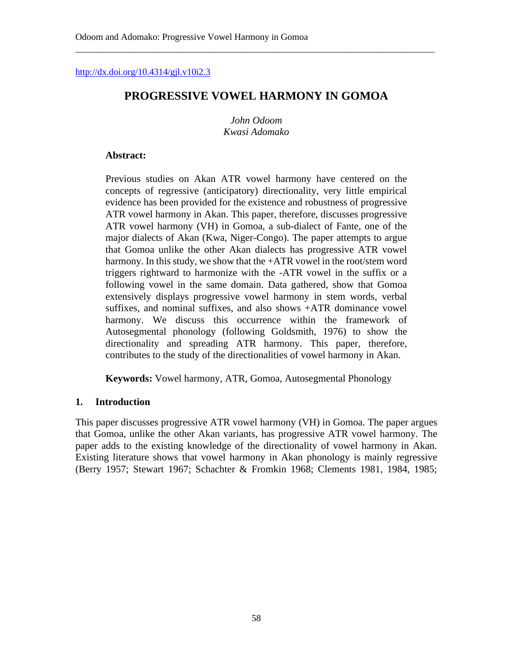<http://dx.doi.org/10.4314/gjl.v10i2.3>

# **PROGRESSIVE VOWEL HARMONY IN GOMOA**

\_\_\_\_\_\_\_\_\_\_\_\_\_\_\_\_\_\_\_\_\_\_\_\_\_\_\_\_\_\_\_\_\_\_\_\_\_\_\_\_\_\_\_\_\_\_\_\_\_\_\_\_\_\_\_\_\_\_\_\_\_\_\_\_\_\_\_\_\_\_\_\_\_\_\_\_\_\_

*John Odoom Kwasi Adomako*

### **Abstract:**

Previous studies on Akan ATR vowel harmony have centered on the concepts of regressive (anticipatory) directionality, very little empirical evidence has been provided for the existence and robustness of progressive ATR vowel harmony in Akan. This paper, therefore, discusses progressive ATR vowel harmony (VH) in Gomoa, a sub-dialect of Fante, one of the major dialects of Akan (Kwa, Niger-Congo). The paper attempts to argue that Gomoa unlike the other Akan dialects has progressive ATR vowel harmony. In this study, we show that the +ATR vowel in the root/stem word triggers rightward to harmonize with the -ATR vowel in the suffix or a following vowel in the same domain. Data gathered, show that Gomoa extensively displays progressive vowel harmony in stem words, verbal suffixes, and nominal suffixes, and also shows +ATR dominance vowel harmony. We discuss this occurrence within the framework of Autosegmental phonology (following Goldsmith, 1976) to show the directionality and spreading ATR harmony. This paper, therefore, contributes to the study of the directionalities of vowel harmony in Akan.

**Keywords:** Vowel harmony, ATR, Gomoa, Autosegmental Phonology

## **1. Introduction**

This paper discusses progressive ATR vowel harmony (VH) in Gomoa. The paper argues that Gomoa, unlike the other Akan variants, has progressive ATR vowel harmony. The paper adds to the existing knowledge of the directionality of vowel harmony in Akan. Existing literature shows that vowel harmony in Akan phonology is mainly regressive (Berry 1957; Stewart 1967; Schachter & Fromkin 1968; Clements 1981, 1984, 1985;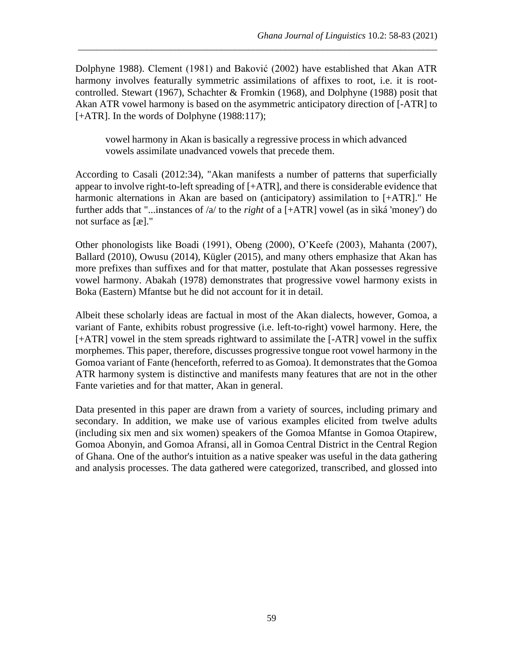Dolphyne 1988). Clement (1981) and Baković (2002) have established that Akan ATR harmony involves featurally symmetric assimilations of affixes to root, i.e. it is rootcontrolled. Stewart (1967), Schachter & Fromkin (1968), and Dolphyne (1988) posit that Akan ATR vowel harmony is based on the asymmetric anticipatory direction of [-ATR] to [+ATR]. In the words of Dolphyne (1988:117);

\_\_\_\_\_\_\_\_\_\_\_\_\_\_\_\_\_\_\_\_\_\_\_\_\_\_\_\_\_\_\_\_\_\_\_\_\_\_\_\_\_\_\_\_\_\_\_\_\_\_\_\_\_\_\_\_\_\_\_\_\_\_\_\_\_\_\_\_\_\_\_\_\_\_\_\_\_\_

vowel harmony in Akan is basically a regressive process in which advanced vowels assimilate unadvanced vowels that precede them.

According to Casali (2012:34), "Akan manifests a number of patterns that superficially appear to involve right-to-left spreading of [+ATR], and there is considerable evidence that harmonic alternations in Akan are based on (anticipatory) assimilation to [+ATR]." He further adds that "...instances of /a/ to the *right* of a [+ATR] vowel (as in sìká 'money') do not surface as [æ]."

Other phonologists like Boadi (1991), Obeng (2000), O'Keefe (2003), Mahanta (2007), Ballard (2010), Owusu (2014), Kügler (2015), and many others emphasize that Akan has more prefixes than suffixes and for that matter, postulate that Akan possesses regressive vowel harmony. Abakah (1978) demonstrates that progressive vowel harmony exists in Boka (Eastern) Mfantse but he did not account for it in detail.

Albeit these scholarly ideas are factual in most of the Akan dialects, however, Gomoa, a variant of Fante, exhibits robust progressive (i.e. left-to-right) vowel harmony. Here, the [+ATR] vowel in the stem spreads rightward to assimilate the [-ATR] vowel in the suffix morphemes. This paper, therefore, discusses progressive tongue root vowel harmony in the Gomoa variant of Fante (henceforth, referred to as Gomoa). It demonstrates that the Gomoa ATR harmony system is distinctive and manifests many features that are not in the other Fante varieties and for that matter, Akan in general.

Data presented in this paper are drawn from a variety of sources, including primary and secondary. In addition, we make use of various examples elicited from twelve adults (including six men and six women) speakers of the Gomoa Mfantse in Gomoa Otapirew, Gomoa Abonyin, and Gomoa Afransi, all in Gomoa Central District in the Central Region of Ghana. One of the author's intuition as a native speaker was useful in the data gathering and analysis processes. The data gathered were categorized, transcribed, and glossed into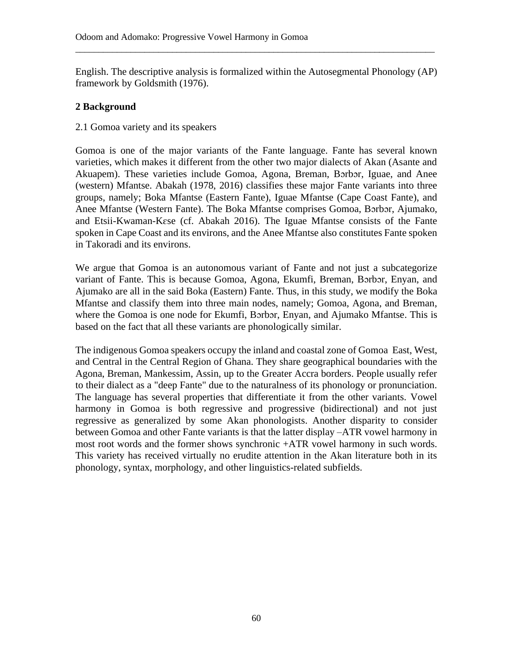English. The descriptive analysis is formalized within the Autosegmental Phonology (AP) framework by Goldsmith (1976).

\_\_\_\_\_\_\_\_\_\_\_\_\_\_\_\_\_\_\_\_\_\_\_\_\_\_\_\_\_\_\_\_\_\_\_\_\_\_\_\_\_\_\_\_\_\_\_\_\_\_\_\_\_\_\_\_\_\_\_\_\_\_\_\_\_\_\_\_\_\_\_\_\_\_\_\_\_\_

## **2 Background**

2.1 Gomoa variety and its speakers

Gomoa is one of the major variants of the Fante language. Fante has several known varieties, which makes it different from the other two major dialects of Akan (Asante and Akuapem). These varieties include Gomoa, Agona, Breman, Bɔrbɔr, Iguae, and Anee (western) Mfantse. Abakah (1978, 2016) classifies these major Fante variants into three groups, namely; Boka Mfantse (Eastern Fante), Iguae Mfantse (Cape Coast Fante), and Anee Mfantse (Western Fante). The Boka Mfantse comprises Gomoa, Bɔrbɔr, Ajumako, and Etsii-Kwaman-Kɛse (cf. Abakah 2016). The Iguae Mfantse consists of the Fante spoken in Cape Coast and its environs, and the Anee Mfantse also constitutes Fante spoken in Takoradi and its environs.

We argue that Gomoa is an autonomous variant of Fante and not just a subcategorize variant of Fante. This is because Gomoa, Agona, Ekumfi, Breman, Bɔrbɔr, Enyan, and Ajumako are all in the said Boka (Eastern) Fante. Thus, in this study, we modify the Boka Mfantse and classify them into three main nodes, namely; Gomoa, Agona, and Breman, where the Gomoa is one node for Ekumfi, Borbor, Enyan, and Ajumako Mfantse. This is based on the fact that all these variants are phonologically similar.

The indigenous Gomoa speakers occupy the inland and coastal zone of Gomoa East, West, and Central in the Central Region of Ghana. They share geographical boundaries with the Agona, Breman, Mankessim, Assin, up to the Greater Accra borders. People usually refer to their dialect as a "deep Fante" due to the naturalness of its phonology or pronunciation. The language has several properties that differentiate it from the other variants. Vowel harmony in Gomoa is both regressive and progressive (bidirectional) and not just regressive as generalized by some Akan phonologists. Another disparity to consider between Gomoa and other Fante variants is that the latter display –ATR vowel harmony in most root words and the former shows synchronic +ATR vowel harmony in such words. This variety has received virtually no erudite attention in the Akan literature both in its phonology, syntax, morphology, and other linguistics-related subfields.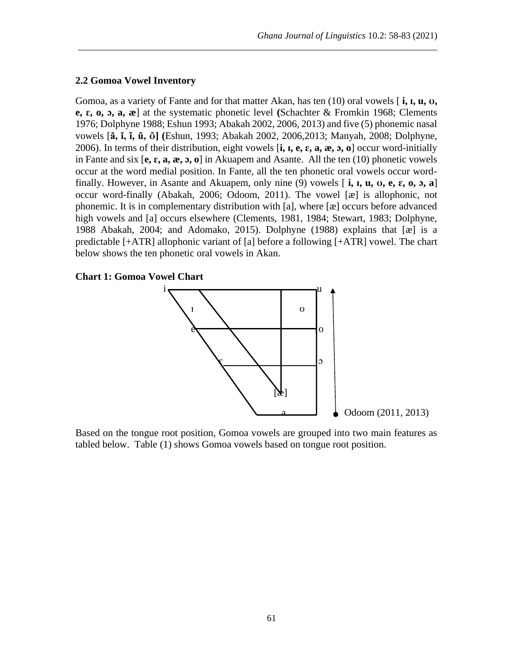#### **2.2 Gomoa Vowel Inventory**

Gomoa, as a variety of Fante and for that matter Akan, has ten (10) oral vowels [ **i, ɪ, u, ʊ, e, ɛ, o, ɔ, a, æ**] at the systematic phonetic level **(**Schachter & Fromkin 1968; Clements 1976; Dolphyne 1988; Eshun 1993; Abakah 2002, 2006, 2013) and five (5) phonemic nasal vowels [**ã, ĩ, ɪ̃ , ũ, ʊ̃ ] (**Eshun, 1993; Abakah 2002, 2006,2013; Manyah, 2008; Dolphyne, 2006). In terms of their distribution, eight vowels [**i, ɪ, e, ɛ, a, æ, ɔ, o**] occur word-initially in Fante and six [**e, ɛ, a, æ, ɔ, o**] in Akuapem and Asante. All the ten (10) phonetic vowels occur at the word medial position. In Fante, all the ten phonetic oral vowels occur wordfinally. However, in Asante and Akuapem, only nine (9) vowels [ **i, ɪ, u, ʊ, e, ɛ, o, ɔ, a**] occur word-finally (Abakah, 2006; Odoom, 2011). The vowel [æ] is allophonic, not phonemic. It is in complementary distribution with [a], where [æ] occurs before advanced high vowels and [a] occurs elsewhere (Clements, 1981, 1984; Stewart, 1983; Dolphyne, 1988 Abakah, 2004; and Adomako, 2015). Dolphyne (1988) explains that [æ] is a predictable [+ATR] allophonic variant of [a] before a following [+ATR] vowel. The chart below shows the ten phonetic oral vowels in Akan.

\_\_\_\_\_\_\_\_\_\_\_\_\_\_\_\_\_\_\_\_\_\_\_\_\_\_\_\_\_\_\_\_\_\_\_\_\_\_\_\_\_\_\_\_\_\_\_\_\_\_\_\_\_\_\_\_\_\_\_\_\_\_\_\_\_\_\_\_\_\_\_\_\_\_\_\_\_\_

### **Chart 1: Gomoa Vowel Chart**



Based on the tongue root position, Gomoa vowels are grouped into two main features as tabled below. Table (1) shows Gomoa vowels based on tongue root position.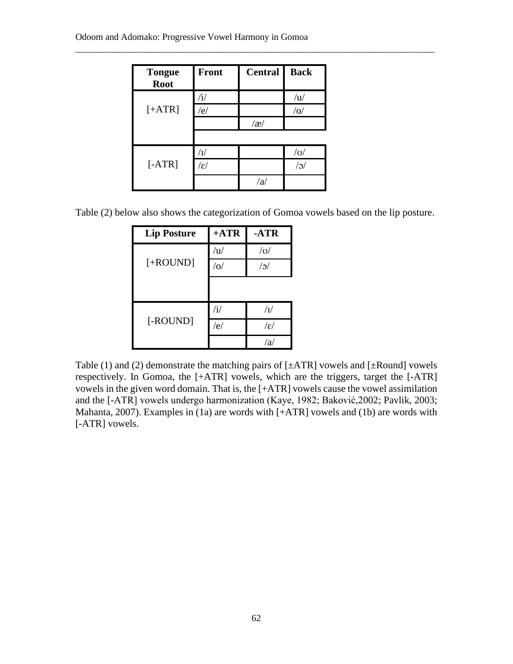| <b>Tongue</b><br><b>Root</b> | <b>Front</b>          | <b>Central</b> | <b>Back</b> |
|------------------------------|-----------------------|----------------|-------------|
|                              |                       |                | $\sqrt{u}$  |
| $[+ATR]$                     | /e/                   |                | / o         |
|                              |                       | $\alpha$       |             |
|                              |                       |                |             |
|                              |                       |                | $\sqrt{O}$  |
| [ARTR]                       | $\sqrt{\varepsilon}/$ |                | $\sqrt{c}$  |
|                              |                       | /a             |             |

Table (2) below also shows the categorization of Gomoa vowels based on the lip posture.

\_\_\_\_\_\_\_\_\_\_\_\_\_\_\_\_\_\_\_\_\_\_\_\_\_\_\_\_\_\_\_\_\_\_\_\_\_\_\_\_\_\_\_\_\_\_\_\_\_\_\_\_\_\_\_\_\_\_\_\_\_\_\_\_\_\_\_\_\_\_\_\_\_\_\_\_\_\_

| <b>Lip Posture</b> | $+ATR$       | $-ATR$          |
|--------------------|--------------|-----------------|
|                    | /u/          | $\sqrt{O}$      |
| $[+ROUND]$         | / o/         | $/$ o $/$       |
|                    |              |                 |
|                    | $\mathbf{u}$ | $\sqrt{I}$      |
| [-ROUND]           | /e/          | $ \varepsilon $ |
|                    |              | 'a              |

Table (1) and (2) demonstrate the matching pairs of  $[\pm ATR]$  vowels and  $[\pm Round]$  vowels respectively. In Gomoa, the [+ATR] vowels, which are the triggers, target the [-ATR] vowels in the given word domain. That is, the [+ATR] vowels cause the vowel assimilation and the [-ATR] vowels undergo harmonization (Kaye, 1982; Baković,2002; Pavlik, 2003; Mahanta, 2007). Examples in (1a) are words with [+ATR] vowels and (1b) are words with [-ATR] vowels.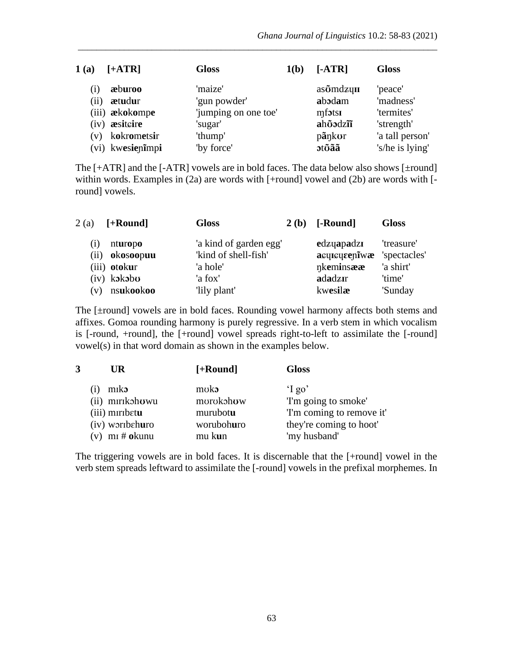| 1(a) | $[+ATR]$              | <b>Gloss</b>         | 1(b) | $[-ATR]$                      | <b>Gloss</b>    |
|------|-----------------------|----------------------|------|-------------------------------|-----------------|
| (1)  | æburoo                | 'maize'              |      | $as\tilde{o}$ mdzyn           | 'peace'         |
| (ii) | ætudur                | 'gun powder'         |      | abodam                        | 'madness'       |
|      | (iii) <b>ækokompe</b> | 'jumping on one toe' |      | $mf$ $\sigma$ <sub>5151</sub> | 'termites'      |
|      | (iv) <b>assiteire</b> | 'sugar'              |      | ahōodzīī                      | 'strength'      |
| (v)  | kokrometsir           | 'thump'              |      | pãnkor                        | 'a tall person' |
|      | (vi) kwesienimpi      | 'by force'           |      | <b>otoãã</b>                  | 's/he is lying' |

\_\_\_\_\_\_\_\_\_\_\_\_\_\_\_\_\_\_\_\_\_\_\_\_\_\_\_\_\_\_\_\_\_\_\_\_\_\_\_\_\_\_\_\_\_\_\_\_\_\_\_\_\_\_\_\_\_\_\_\_\_\_\_\_\_\_\_\_\_\_\_\_\_\_\_\_\_\_

The  $[+ATR]$  and the  $[-ATR]$  vowels are in bold faces. The data below also shows  $[\pm$ round] within words. Examples in (2a) are words with [+round] vowel and (2b) are words with [round] vowels.

| 2(a)          | $[+Round]$    | <b>Gloss</b>           | 2(b) | [-Round]      | <b>Gloss</b> |
|---------------|---------------|------------------------|------|---------------|--------------|
| (1)           | nturopo       | 'a kind of garden egg' |      | edzyapadzi    | 'treasure'   |
| (ii)          | okosoopuu     | 'kind of shell-fish'   |      | acquequeenlwæ | 'spectacles' |
|               | (iii) otokur  | 'a hole'               |      | nkeminsææ     | 'a shirt'    |
|               | $(iv)$ kakabu | 'a fox'                |      | adadzir       | 'time'       |
| $\mathbf{v})$ | nsukookoo     | 'lily plant'           |      | kwesilæ       | 'Sunday      |

The [±round] vowels are in bold faces. Rounding vowel harmony affects both stems and affixes. Gomoa rounding harmony is purely regressive. In a verb stem in which vocalism is [-round, +round], the [+round] vowel spreads right-to-left to assimilate the [-round] vowel(s) in that word domain as shown in the examples below.

| UR                                  | $[+Round]$ | <b>Gloss</b>             |
|-------------------------------------|------------|--------------------------|
| miko                                | moko       | $\gamma$ go'             |
| (ii) mirikohowu                     | morokohow  | 'I'm going to smoke'     |
| (iii) miribetu                      | murubotu   | T'm coming to remove it' |
| (iv) worthehuro                     | worubohuro | they're coming to hoot'  |
| $(v)$ m <sub>I</sub> # <b>okunu</b> | mu kun     | 'my husband'             |

The triggering vowels are in bold faces. It is discernable that the [+round] vowel in the verb stem spreads leftward to assimilate the [-round] vowels in the prefixal morphemes. In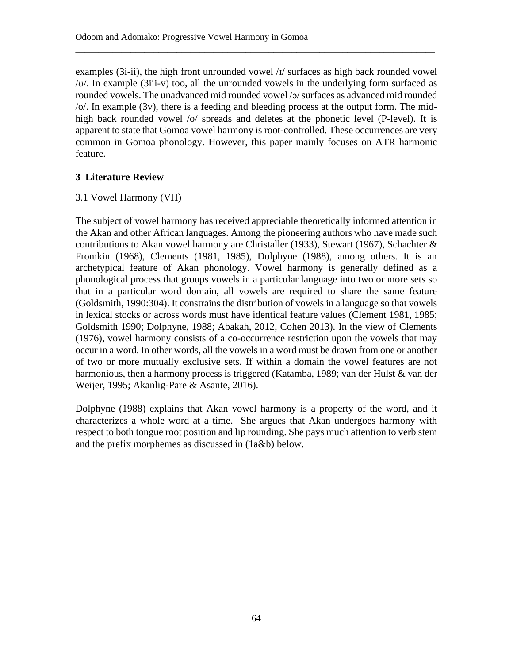examples  $(3i-i)$ , the high front unrounded vowel  $\frac{1}{2}$  surfaces as high back rounded vowel /ʊ/. In example (3iii-v) too, all the unrounded vowels in the underlying form surfaced as rounded vowels. The unadvanced mid rounded vowel /ɔ/ surfaces as advanced mid rounded  $\sqrt{\frac{1}{2}}$ . In example (3v), there is a feeding and bleeding process at the output form. The midhigh back rounded vowel /o/ spreads and deletes at the phonetic level (P-level). It is apparent to state that Gomoa vowel harmony is root-controlled. These occurrences are very common in Gomoa phonology. However, this paper mainly focuses on ATR harmonic feature.

\_\_\_\_\_\_\_\_\_\_\_\_\_\_\_\_\_\_\_\_\_\_\_\_\_\_\_\_\_\_\_\_\_\_\_\_\_\_\_\_\_\_\_\_\_\_\_\_\_\_\_\_\_\_\_\_\_\_\_\_\_\_\_\_\_\_\_\_\_\_\_\_\_\_\_\_\_\_

## **3 Literature Review**

## 3.1 Vowel Harmony (VH)

The subject of vowel harmony has received appreciable theoretically informed attention in the Akan and other African languages. Among the pioneering authors who have made such contributions to Akan vowel harmony are Christaller (1933), Stewart (1967), Schachter & Fromkin (1968), Clements (1981, 1985), Dolphyne (1988), among others. It is an archetypical feature of Akan phonology. Vowel harmony is generally defined as a phonological process that groups vowels in a particular language into two or more sets so that in a particular word domain, all vowels are required to share the same feature (Goldsmith, 1990:304). It constrains the distribution of vowels in a language so that vowels in lexical stocks or across words must have identical feature values (Clement 1981, 1985; Goldsmith 1990; Dolphyne, 1988; Abakah, 2012, Cohen 2013). In the view of Clements (1976), vowel harmony consists of a co-occurrence restriction upon the vowels that may occur in a word. In other words, all the vowels in a word must be drawn from one or another of two or more mutually exclusive sets. If within a domain the vowel features are not harmonious, then a harmony process is triggered (Katamba, 1989; van der Hulst & van der Weijer, 1995; Akanlig-Pare & Asante, 2016).

Dolphyne (1988) explains that Akan vowel harmony is a property of the word, and it characterizes a whole word at a time. She argues that Akan undergoes harmony with respect to both tongue root position and lip rounding. She pays much attention to verb stem and the prefix morphemes as discussed in (1a&b) below.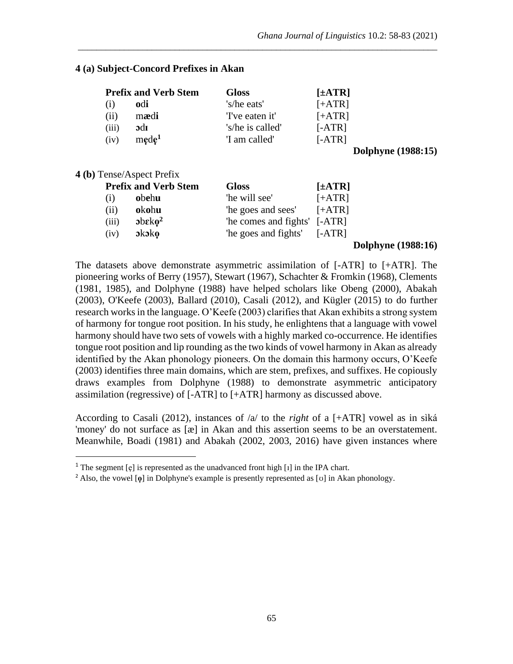## **4 (a) Subject-Concord Prefixes in Akan**

| <b>Prefix and Verb Stem</b> |                   | <b>Gloss</b>     | $[\pm ATR]$ |
|-----------------------------|-------------------|------------------|-------------|
| (i)                         | odi               | 's/he eats'      | $[+ATR]$    |
| (ii)                        | mædi              | 'I've eaten it'  | $[+ATR]$    |
| (iii)                       | $\rm adr$         | 's/he is called' | $[-ATR]$    |
| (iv)                        | mede <sup>1</sup> | 'I am called'    | $[-ATR]$    |

\_\_\_\_\_\_\_\_\_\_\_\_\_\_\_\_\_\_\_\_\_\_\_\_\_\_\_\_\_\_\_\_\_\_\_\_\_\_\_\_\_\_\_\_\_\_\_\_\_\_\_\_\_\_\_\_\_\_\_\_\_\_\_\_\_\_\_\_\_\_\_\_\_\_\_\_\_\_

 **Dolphyne (1988:15)**

### **4 (b)** Tense/Aspect Prefix

|       | <b>Prefix and Verb Stem</b> | <b>Gloss</b>                 | $[\pm ATR]$ |
|-------|-----------------------------|------------------------------|-------------|
| (i)   | obehu                       | 'he will see'                | $[+ATR]$    |
| (ii)  | okohu                       | 'he goes and sees'           | $[+ATR]$    |
| (iii) | $ob \epsilon k \omega^2$    | "he comes and fights" [-ATR] |             |
| (iv)  | $\delta$ x $\delta$ ko      | "he goes and fights" [-ATR]  |             |
|       |                             |                              |             |

#### **Dolphyne (1988:16)**

The datasets above demonstrate asymmetric assimilation of [-ATR] to [+ATR]. The pioneering works of Berry (1957), Stewart (1967), Schachter & Fromkin (1968), Clements (1981, 1985), and Dolphyne (1988) have helped scholars like Obeng (2000), Abakah (2003), O'Keefe (2003), Ballard (2010), Casali (2012), and Kügler (2015) to do further research works in the language. O'Keefe (2003) clarifies that Akan exhibits a strong system of harmony for tongue root position. In his study, he enlightens that a language with vowel harmony should have two sets of vowels with a highly marked co-occurrence. He identifies tongue root position and lip rounding as the two kinds of vowel harmony in Akan as already identified by the Akan phonology pioneers. On the domain this harmony occurs, O'Keefe (2003) identifies three main domains, which are stem, prefixes, and suffixes. He copiously draws examples from Dolphyne (1988) to demonstrate asymmetric anticipatory assimilation (regressive) of [-ATR] to [+ATR] harmony as discussed above.

According to Casali (2012), instances of /a/ to the *right* of a [+ATR] vowel as in sìká 'money' do not surface as [æ] in Akan and this assertion seems to be an overstatement. Meanwhile, Boadi (1981) and Abakah (2002, 2003, 2016) have given instances where

<sup>&</sup>lt;sup>1</sup> The segment  $[e]$  is represented as the unadvanced front high  $[i]$  in the IPA chart.

<sup>&</sup>lt;sup>2</sup> Also, the vowel [**o**] in Dolphyne's example is presently represented as [v] in Akan phonology.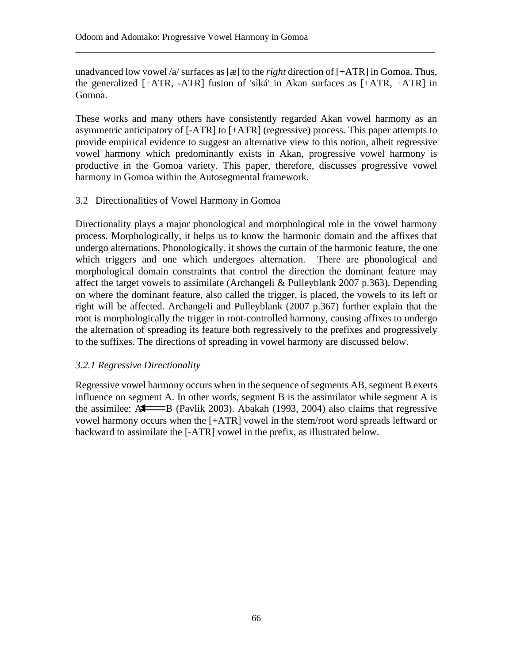unadvanced low vowel /a/ surfaces as [æ] to the *right* direction of [+ATR] in Gomoa. Thus, the generalized [+ATR, -ATR] fusion of 'sìká' in Akan surfaces as [+ATR, +ATR] in Gomoa.

\_\_\_\_\_\_\_\_\_\_\_\_\_\_\_\_\_\_\_\_\_\_\_\_\_\_\_\_\_\_\_\_\_\_\_\_\_\_\_\_\_\_\_\_\_\_\_\_\_\_\_\_\_\_\_\_\_\_\_\_\_\_\_\_\_\_\_\_\_\_\_\_\_\_\_\_\_\_

These works and many others have consistently regarded Akan vowel harmony as an asymmetric anticipatory of [-ATR] to [+ATR] (regressive) process. This paper attempts to provide empirical evidence to suggest an alternative view to this notion, albeit regressive vowel harmony which predominantly exists in Akan, progressive vowel harmony is productive in the Gomoa variety. This paper, therefore, discusses progressive vowel harmony in Gomoa within the Autosegmental framework.

## 3.2 Directionalities of Vowel Harmony in Gomoa

Directionality plays a major phonological and morphological role in the vowel harmony process. Morphologically, it helps us to know the harmonic domain and the affixes that undergo alternations. Phonologically, it shows the curtain of the harmonic feature, the one which triggers and one which undergoes alternation. There are phonological and morphological domain constraints that control the direction the dominant feature may affect the target vowels to assimilate (Archangeli & Pulleyblank 2007 p.363). Depending on where the dominant feature, also called the trigger, is placed, the vowels to its left or right will be affected. Archangeli and Pulleyblank (2007 p.367) further explain that the root is morphologically the trigger in root-controlled harmony, causing affixes to undergo the alternation of spreading its feature both regressively to the prefixes and progressively to the suffixes. The directions of spreading in vowel harmony are discussed below.

## *3.2.1 Regressive Directionality*

Regressive vowel harmony occurs when in the sequence of segments AB, segment B exerts influence on segment A. In other words, segment B is the assimilator while segment A is the assimilee:  $A \longrightarrow B$  (Pavlik 2003). Abakah (1993, 2004) also claims that regressive vowel harmony occurs when the [+ATR] vowel in the stem/root word spreads leftward or backward to assimilate the [-ATR] vowel in the prefix, as illustrated below.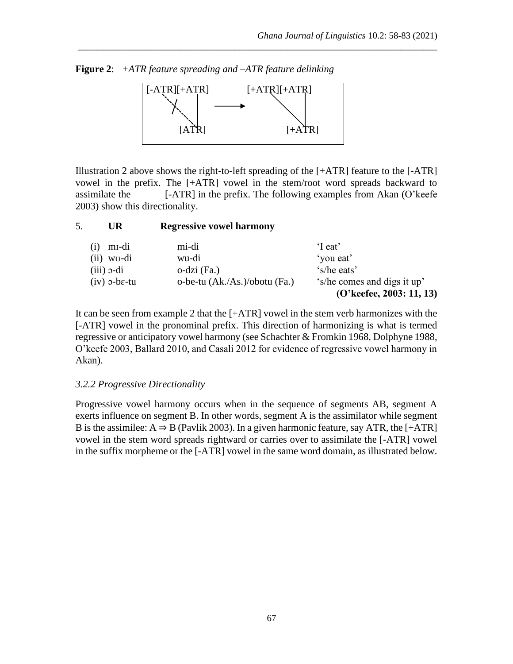**Figure 2**: *+ATR feature spreading and –ATR feature delinking*



\_\_\_\_\_\_\_\_\_\_\_\_\_\_\_\_\_\_\_\_\_\_\_\_\_\_\_\_\_\_\_\_\_\_\_\_\_\_\_\_\_\_\_\_\_\_\_\_\_\_\_\_\_\_\_\_\_\_\_\_\_\_\_\_\_\_\_\_\_\_\_\_\_\_\_\_\_\_

Illustration 2 above shows the right-to-left spreading of the [+ATR] feature to the [-ATR] vowel in the prefix. The [+ATR] vowel in the stem/root word spreads backward to assimilate the  $[-ATR]$  in the prefix. The following examples from Akan  $(O'$ keefe 2003) show this directionality.

| 5.                   | UR                 | <b>Regressive vowel harmony</b> |                                                         |
|----------------------|--------------------|---------------------------------|---------------------------------------------------------|
| (1)                  | m <sub>I</sub> -di | mi-di                           | 'I eat'                                                 |
|                      | $(ii)$ wo-di       | wu-di                           | 'you eat'                                               |
| $(iii)$ $\sigma$ -di |                    | $o$ -dzi (Fa.)                  | 's/he eats'                                             |
|                      | $(iv)$ o-be-tu     | o-be-tu (Ak./As.)/obotu (Fa.)   | 's/he comes and digs it up'<br>(O'keefee, 2003: 11, 13) |

It can be seen from example 2 that the [+ATR] vowel in the stem verb harmonizes with the [-ATR] vowel in the pronominal prefix. This direction of harmonizing is what is termed regressive or anticipatory vowel harmony (see Schachter & Fromkin 1968, Dolphyne 1988, O'keefe 2003, Ballard 2010, and Casali 2012 for evidence of regressive vowel harmony in Akan).

## *3.2.2 Progressive Directionality*

Progressive vowel harmony occurs when in the sequence of segments AB, segment A exerts influence on segment B. In other words, segment A is the assimilator while segment B is the assimilee:  $A \Rightarrow B$  (Pavlik 2003). In a given harmonic feature, say ATR, the [+ATR] vowel in the stem word spreads rightward or carries over to assimilate the [-ATR] vowel in the suffix morpheme or the [-ATR] vowel in the same word domain, as illustrated below.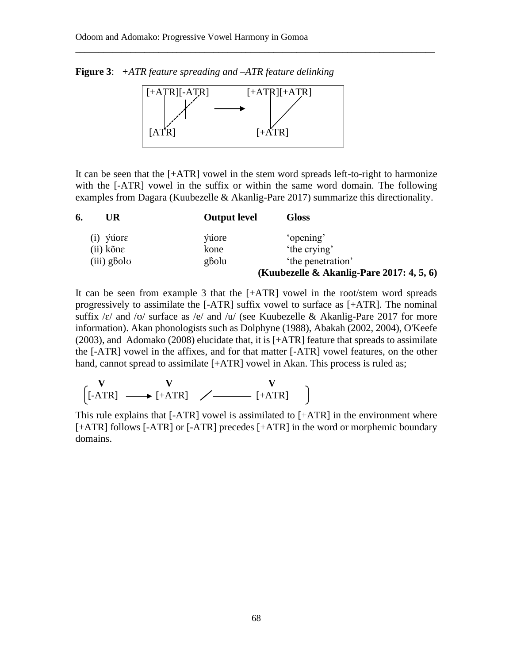**Figure 3**: *+ATR feature spreading and –ATR feature delinking*



\_\_\_\_\_\_\_\_\_\_\_\_\_\_\_\_\_\_\_\_\_\_\_\_\_\_\_\_\_\_\_\_\_\_\_\_\_\_\_\_\_\_\_\_\_\_\_\_\_\_\_\_\_\_\_\_\_\_\_\_\_\_\_\_\_\_\_\_\_\_\_\_\_\_\_\_\_\_

It can be seen that the [+ATR] vowel in the stem word spreads left-to-right to harmonize with the [-ATR] vowel in the suffix or within the same word domain. The following examples from Dagara (Kuubezelle & Akanlig-Pare 2017) summarize this directionality.

| 6. | UR.           | <b>Output level</b> | <b>Gloss</b>                                 |
|----|---------------|---------------------|----------------------------------------------|
|    | $(i)$ yuore   | ýúore               | 'opening'                                    |
|    | (ii) kõne     | kone                | 'the crying'                                 |
|    | $(iii)$ gbolo | gbolu               | 'the penetration'                            |
|    |               |                     | (Kuubezelle & Akanlig-Pare 2017: $4, 5, 6$ ) |

It can be seen from example 3 that the [+ATR] vowel in the root/stem word spreads progressively to assimilate the [-ATR] suffix vowel to surface as [+ATR]. The nominal suffix / $\varepsilon$ / and / $\sigma$ / surface as / $e$ / and / $\sigma$ / (see Kuubezelle & Akanlig-Pare 2017 for more information). Akan phonologists such as Dolphyne (1988), Abakah (2002, 2004), O'Keefe (2003), and Adomako (2008) elucidate that, it is [+ATR] feature that spreads to assimilate the [-ATR] vowel in the affixes, and for that matter [-ATR] vowel features, on the other hand, cannot spread to assimilate [+ATR] vowel in Akan. This process is ruled as;

$$
\begin{array}{ccc}\nV & V & V \\
[-ATR] & \longrightarrow [+ATR] & \nearrow & \longrightarrow [+ATR]\n\end{array}
$$

This rule explains that [-ATR] vowel is assimilated to [+ATR] in the environment where [+ATR] follows [-ATR] or [-ATR] precedes [+ATR] in the word or morphemic boundary domains.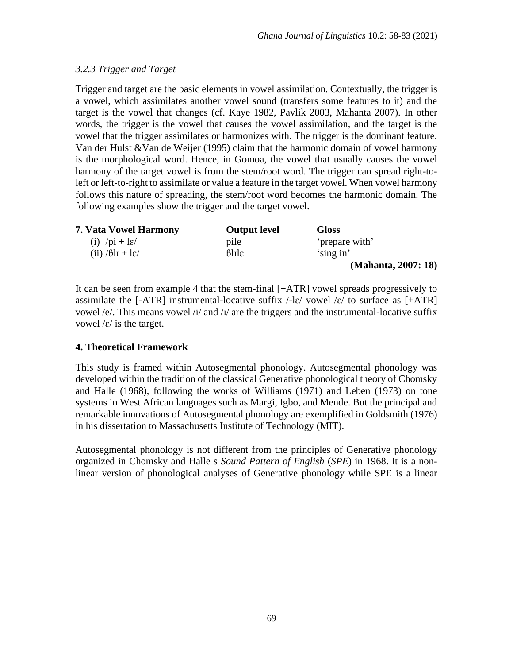## *3.2.3 Trigger and Target*

Trigger and target are the basic elements in vowel assimilation. Contextually, the trigger is a vowel, which assimilates another vowel sound (transfers some features to it) and the target is the vowel that changes (cf. Kaye 1982, Pavlik 2003, Mahanta 2007). In other words, the trigger is the vowel that causes the vowel assimilation, and the target is the vowel that the trigger assimilates or harmonizes with. The trigger is the dominant feature. Van der Hulst &Van de Weijer (1995) claim that the harmonic domain of vowel harmony is the morphological word. Hence, in Gomoa, the vowel that usually causes the vowel harmony of the target vowel is from the stem/root word. The trigger can spread right-toleft or left-to-right to assimilate or value a feature in the target vowel. When vowel harmony follows this nature of spreading, the stem/root word becomes the harmonic domain. The following examples show the trigger and the target vowel.

\_\_\_\_\_\_\_\_\_\_\_\_\_\_\_\_\_\_\_\_\_\_\_\_\_\_\_\_\_\_\_\_\_\_\_\_\_\_\_\_\_\_\_\_\_\_\_\_\_\_\_\_\_\_\_\_\_\_\_\_\_\_\_\_\_\_\_\_\_\_\_\_\_\_\_\_\_\_

| <b>7. Vata Vowel Harmony</b>                | <b>Output level</b>   | <b>Gloss</b>        |
|---------------------------------------------|-----------------------|---------------------|
| (i) $\pi$ + l $\varepsilon$ /               | pile                  | 'prepare with'      |
| $(ii)$ /6l <sub>I</sub> + l $\varepsilon$ / | $6$ lıl $\varepsilon$ | 'sing in'           |
|                                             |                       | (Mahanta, 2007: 18) |

It can be seen from example 4 that the stem-final [+ATR] vowel spreads progressively to assimilate the [-ATR] instrumental-locative suffix  $\ell$ -le/ vowel  $\ell \epsilon$  to surface as [+ATR] vowel /e/. This means vowel /i/ and /i/ are the triggers and the instrumental-locative suffix vowel  $\frac{\epsilon}{i}$  is the target.

## **4. Theoretical Framework**

This study is framed within Autosegmental phonology. Autosegmental phonology was developed within the tradition of the classical Generative phonological theory of Chomsky and Halle (1968), following the works of Williams (1971) and Leben (1973) on tone systems in West African languages such as Margi, Igbo, and Mende. But the principal and remarkable innovations of Autosegmental phonology are exemplified in Goldsmith (1976) in his dissertation to Massachusetts Institute of Technology (MIT).

Autosegmental phonology is not different from the principles of Generative phonology organized in Chomsky and Halle s *Sound Pattern of English* (*SPE*) in 1968. It is a nonlinear version of phonological analyses of Generative phonology while SPE is a linear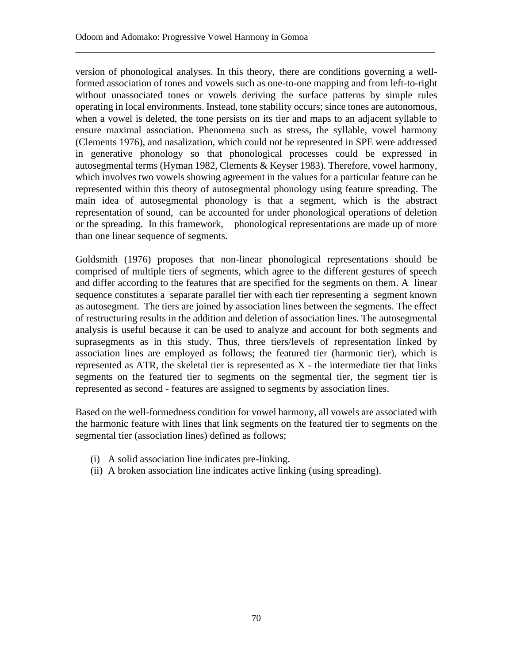version of phonological analyses. In this theory, there are conditions governing a wellformed association of tones and vowels such as one-to-one mapping and from left-to-right without unassociated tones or vowels deriving the surface patterns by simple rules operating in local environments. Instead, tone stability occurs; since tones are autonomous, when a vowel is deleted, the tone persists on its tier and maps to an adjacent syllable to ensure maximal association. Phenomena such as stress, the syllable, vowel harmony (Clements 1976), and nasalization, which could not be represented in SPE were addressed in generative phonology so that phonological processes could be expressed in autosegmental terms (Hyman 1982, Clements & Keyser 1983). Therefore, vowel harmony, which involves two vowels showing agreement in the values for a particular feature can be represented within this theory of autosegmental phonology using feature spreading. The main idea of autosegmental phonology is that a segment, which is the abstract representation of sound, can be accounted for under phonological operations of deletion or the spreading. In this framework, phonological representations are made up of more than one linear sequence of segments.

\_\_\_\_\_\_\_\_\_\_\_\_\_\_\_\_\_\_\_\_\_\_\_\_\_\_\_\_\_\_\_\_\_\_\_\_\_\_\_\_\_\_\_\_\_\_\_\_\_\_\_\_\_\_\_\_\_\_\_\_\_\_\_\_\_\_\_\_\_\_\_\_\_\_\_\_\_\_

Goldsmith (1976) proposes that non-linear phonological representations should be comprised of multiple tiers of segments, which agree to the different gestures of speech and differ according to the features that are specified for the segments on them. A linear sequence constitutes a separate parallel tier with each tier representing a segment known as autosegment. The tiers are joined by association lines between the segments. The effect of restructuring results in the addition and deletion of association lines. The autosegmental analysis is useful because it can be used to analyze and account for both segments and suprasegments as in this study. Thus, three tiers/levels of representation linked by association lines are employed as follows; the featured tier (harmonic tier), which is represented as  $ATR$ , the skeletal tier is represented as  $X$  - the intermediate tier that links segments on the featured tier to segments on the segmental tier, the segment tier is represented as second - features are assigned to segments by association lines.

Based on the well-formedness condition for vowel harmony, all vowels are associated with the harmonic feature with lines that link segments on the featured tier to segments on the segmental tier (association lines) defined as follows;

- (i) A solid association line indicates pre-linking.
- (ii) A broken association line indicates active linking (using spreading).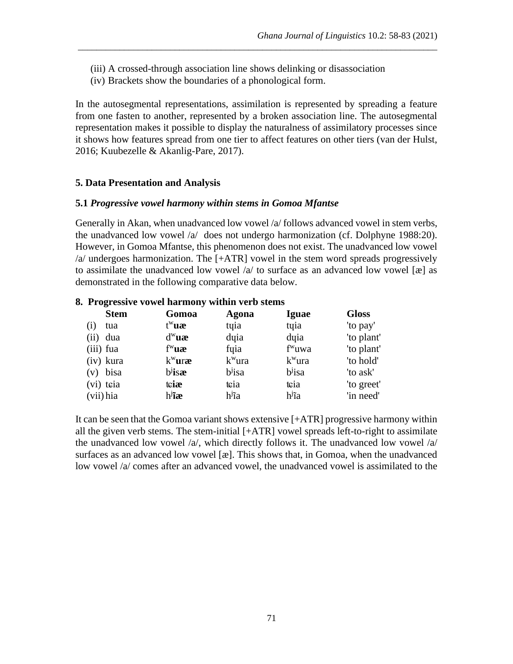- (iii) A crossed-through association line shows delinking or disassociation
- (iv) Brackets show the boundaries of a phonological form.

In the autosegmental representations, assimilation is represented by spreading a feature from one fasten to another, represented by a broken association line. The autosegmental representation makes it possible to display the naturalness of assimilatory processes since it shows how features spread from one tier to affect features on other tiers (van der Hulst, 2016; Kuubezelle & Akanlig-Pare, 2017).

\_\_\_\_\_\_\_\_\_\_\_\_\_\_\_\_\_\_\_\_\_\_\_\_\_\_\_\_\_\_\_\_\_\_\_\_\_\_\_\_\_\_\_\_\_\_\_\_\_\_\_\_\_\_\_\_\_\_\_\_\_\_\_\_\_\_\_\_\_\_\_\_\_\_\_\_\_\_

### **5. Data Presentation and Analysis**

### **5.1** *Progressive vowel harmony within stems in Gomoa Mfantse*

Generally in Akan, when unadvanced low vowel /a/ follows advanced vowel in stem verbs, the unadvanced low vowel /a/ does not undergo harmonization (cf. Dolphyne 1988:20). However, in Gomoa Mfantse, this phenomenon does not exist. The unadvanced low vowel /a/ undergoes harmonization. The [+ATR] vowel in the stem word spreads progressively to assimilate the unadvanced low vowel  $\alpha$  to surface as an advanced low vowel [æ] as demonstrated in the following comparative data below.

#### **8. Progressive vowel harmony within verb stems**

| <b>Stem</b>     | Gomoa     | Agona              | <b>Iguae</b>       | <b>Gloss</b> |
|-----------------|-----------|--------------------|--------------------|--------------|
| $\rm(i)$<br>tua | $t^w$ uæ  | tyia               | tyia               | 'to pay'     |
| (ii)<br>dua     | $d^w$ uæ  | dyia               | dyia               | 'to plant'   |
| $(iii)$ fua     | $f^w$ uæ  | fuia               | f <sup>w</sup> uwa | 'to plant'   |
| (iv) kura       | $k^w$ uræ | $kw$ ura           | $kw$ ura           | 'to hold'    |
| bisa<br>(v)     | $b$ isæ   | b <sup>j</sup> isa | b <sup>j</sup> isa | 'to ask'     |
| (vi) teia       | tciæ      | tcia               | tcia               | 'to greet'   |
| (vii) hia       | $h^j$ ĩæ  | h <sup>j</sup> ĩa  | h <sup>j</sup> ĩa  | 'in need'    |

It can be seen that the Gomoa variant shows extensive [+ATR] progressive harmony within all the given verb stems. The stem-initial [+ATR] vowel spreads left-to-right to assimilate the unadvanced low vowel /a/, which directly follows it. The unadvanced low vowel /a/ surfaces as an advanced low vowel [æ]. This shows that, in Gomoa, when the unadvanced low vowel /a/ comes after an advanced vowel, the unadvanced vowel is assimilated to the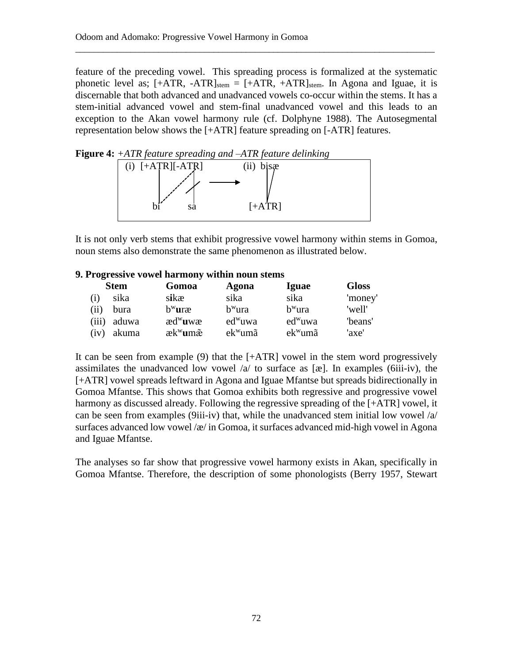feature of the preceding vowel. This spreading process is formalized at the systematic phonetic level as;  $[+ATR, -ATR]_{stem} = [+ATR, +ATR]_{stem}$ . In Agona and Iguae, it is discernable that both advanced and unadvanced vowels co-occur within the stems. It has a stem-initial advanced vowel and stem-final unadvanced vowel and this leads to an exception to the Akan vowel harmony rule (cf. Dolphyne 1988). The Autosegmental representation below shows the [+ATR] feature spreading on [-ATR] features.

\_\_\_\_\_\_\_\_\_\_\_\_\_\_\_\_\_\_\_\_\_\_\_\_\_\_\_\_\_\_\_\_\_\_\_\_\_\_\_\_\_\_\_\_\_\_\_\_\_\_\_\_\_\_\_\_\_\_\_\_\_\_\_\_\_\_\_\_\_\_\_\_\_\_\_\_\_\_



It is not only verb stems that exhibit progressive vowel harmony within stems in Gomoa, noun stems also demonstrate the same phenomenon as illustrated below.

### **9. Progressive vowel harmony within noun stems**

|       | <b>Stem</b> | Gomoa                                   | Agona      | <b>Iguae</b> | <b>Gloss</b> |
|-------|-------------|-----------------------------------------|------------|--------------|--------------|
| (i)   | sika        | sikæ                                    | sika       | sika         | 'money'      |
| (ii)  | bura        | $b^w$ uræ                               | $bw$ ura   | $bw$ ura     | 'well'       |
| (iii) | aduwa       | $\text{ad}^{\mathrm{w}}$ uw $\text{ca}$ | $ed^w$ uwa | $ed^w$ uwa   | 'beans'      |
| (iv)  | akuma       | æk <sup>w</sup> umæ                     | $ek^w$ umã | $ek^w$ umã   | 'axe'        |

It can be seen from example (9) that the [+ATR] vowel in the stem word progressively assimilates the unadvanced low vowel  $\alpha$  to surface as [æ]. In examples (6iii-iv), the [+ATR] vowel spreads leftward in Agona and Iguae Mfantse but spreads bidirectionally in Gomoa Mfantse. This shows that Gomoa exhibits both regressive and progressive vowel harmony as discussed already. Following the regressive spreading of the [+ATR] vowel, it can be seen from examples (9iii-iv) that, while the unadvanced stem initial low vowel /a/ surfaces advanced low vowel / $\alpha$ / in Gomoa, it surfaces advanced mid-high vowel in Agona and Iguae Mfantse.

The analyses so far show that progressive vowel harmony exists in Akan, specifically in Gomoa Mfantse. Therefore, the description of some phonologists (Berry 1957, Stewart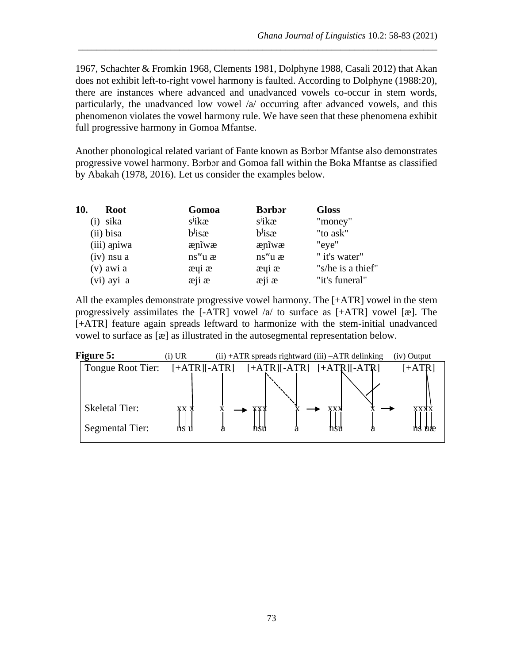1967, Schachter & Fromkin 1968, Clements 1981, Dolphyne 1988, Casali 2012) that Akan does not exhibit left-to-right vowel harmony is faulted. According to Dolphyne (1988:20), there are instances where advanced and unadvanced vowels co-occur in stem words, particularly, the unadvanced low vowel /a/ occurring after advanced vowels, and this phenomenon violates the vowel harmony rule. We have seen that these phenomena exhibit full progressive harmony in Gomoa Mfantse.

\_\_\_\_\_\_\_\_\_\_\_\_\_\_\_\_\_\_\_\_\_\_\_\_\_\_\_\_\_\_\_\_\_\_\_\_\_\_\_\_\_\_\_\_\_\_\_\_\_\_\_\_\_\_\_\_\_\_\_\_\_\_\_\_\_\_\_\_\_\_\_\_\_\_\_\_\_\_

Another phonological related variant of Fante known as Bɔrbɔr Mfantse also demonstrates progressive vowel harmony. Bɔrbɔr and Gomoa fall within the Boka Mfantse as classified by Abakah (1978, 2016). Let us consider the examples below.

| 10.<br><b>Root</b> | Gomoa             | <b>B</b> orbor    | <b>Gloss</b>      |
|--------------------|-------------------|-------------------|-------------------|
| sika               | $s^j$ ikæ         | $s^j$ ikæ         | "money"           |
| (ii) bisa          | $bj$ isæ          | $bj$ isæ          | "to ask"          |
| (iii) apiwa        | ænīwæ             | ænīwæ             | "eye"             |
| $(iv)$ nsu a       | $ns^w u$ $\alpha$ | $ns^w u$ $\alpha$ | " it's water"     |
| $(v)$ awi a        | æyi æ             | æyi æ             | "s/he is a thief" |
| (vi) ayi a         | æji æ             | æji æ             | "it's funeral"    |

All the examples demonstrate progressive vowel harmony. The [+ATR] vowel in the stem progressively assimilates the  $[-ATR]$  vowel  $\alpha$  to surface as  $[+ATR]$  vowel  $[\alpha]$ . The [+ATR] feature again spreads leftward to harmonize with the stem-initial unadvanced vowel to surface as [æ] as illustrated in the autosegmental representation below.

| <b>Figure 5:</b>                         | (i) UR         | $(ii) + ATR$ spreads rightward $(iii) - ATR$ delinking |  | (iv) Output       |
|------------------------------------------|----------------|--------------------------------------------------------|--|-------------------|
| Tongue Root Tier:                        | $[+ATR][-ATR]$ | $[+ATR][-ATR]$ $[+ATR][-ATR]$                          |  | $[+ATR]$          |
| <b>Skeletal Tier:</b><br>Segmental Tier: | XХ             |                                                        |  | <b>XXXX</b><br>uæ |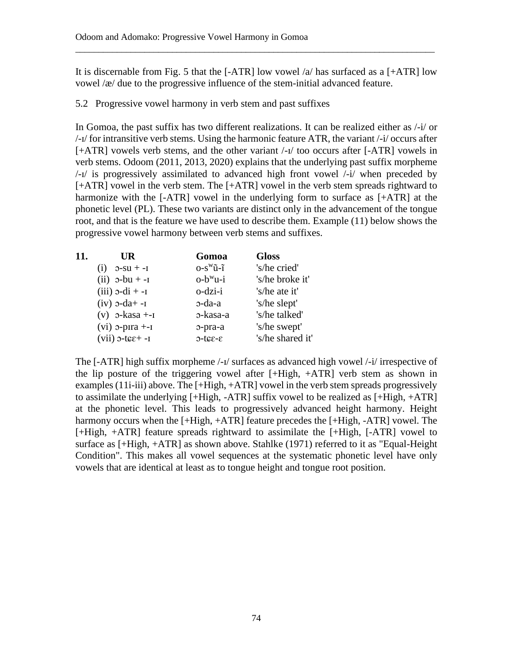It is discernable from Fig. 5 that the  $[-ATR]$  low vowel /a/ has surfaced as a  $[-ATR]$  low vowel /æ/ due to the progressive influence of the stem-initial advanced feature.

\_\_\_\_\_\_\_\_\_\_\_\_\_\_\_\_\_\_\_\_\_\_\_\_\_\_\_\_\_\_\_\_\_\_\_\_\_\_\_\_\_\_\_\_\_\_\_\_\_\_\_\_\_\_\_\_\_\_\_\_\_\_\_\_\_\_\_\_\_\_\_\_\_\_\_\_\_\_

5.2 Progressive vowel harmony in verb stem and past suffixes

In Gomoa, the past suffix has two different realizations. It can be realized either as /-i/ or /-ɪ/ for intransitive verb stems. Using the harmonic feature ATR, the variant /-i/ occurs after [+ATR] vowels verb stems, and the other variant  $\frac{1}{1}$  too occurs after [-ATR] vowels in verb stems. Odoom (2011, 2013, 2020) explains that the underlying past suffix morpheme /-ɪ/ is progressively assimilated to advanced high front vowel /-i/ when preceded by [+ATR] vowel in the verb stem. The [+ATR] vowel in the verb stem spreads rightward to harmonize with the [-ATR] vowel in the underlying form to surface as [+ATR] at the phonetic level (PL). These two variants are distinct only in the advancement of the tongue root, and that is the feature we have used to describe them. Example (11) below shows the progressive vowel harmony between verb stems and suffixes.

| 11. | UR                    | Gomoa                      | <b>Gloss</b>     |
|-----|-----------------------|----------------------------|------------------|
|     | $2-SU + -I$<br>(i)    | $O-S^W\tilde{u}-\tilde{l}$ | 's/he cried'     |
|     | $(ii)$ $o$ -bu $+$ -I | $o-b^{\mathrm{w}}u$ -i     | 's/he broke it'  |
|     | $(iii)$ $2-di + -I$   | o-dzi-i                    | 's/he ate it'    |
|     | $(iv)$ o-da+ -1       | o-da-a                     | 's/he slept'     |
|     | $(v)$ o-kasa $+-1$    | o-kasa-a                   | 's/he talked'    |
|     | $(vi)$ o-pira $+-i$   | o-pra-a                    | 's/he swept'     |
|     | $(vii)$ o-tee +-I     | $3-32J-C$                  | 's/he shared it' |

The [-ATR] high suffix morpheme /-ɪ/ surfaces as advanced high vowel /-i/ irrespective of the lip posture of the triggering vowel after [+High, +ATR] verb stem as shown in examples (11i-iii) above. The [+High, +ATR] vowel in the verb stem spreads progressively to assimilate the underlying [+High, -ATR] suffix vowel to be realized as [+High, +ATR] at the phonetic level. This leads to progressively advanced height harmony. Height harmony occurs when the [+High, +ATR] feature precedes the [+High, -ATR] vowel. The [+High, +ATR] feature spreads rightward to assimilate the [+High, [-ATR] vowel to surface as [+High, +ATR] as shown above. Stahlke (1971) referred to it as "Equal-Height Condition". This makes all vowel sequences at the systematic phonetic level have only vowels that are identical at least as to tongue height and tongue root position.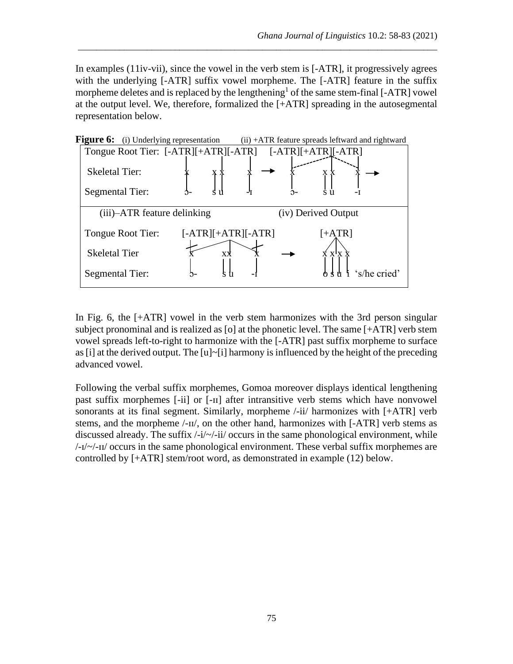In examples (11iv-vii), since the vowel in the verb stem is [-ATR], it progressively agrees with the underlying [-ATR] suffix vowel morpheme. The [-ATR] feature in the suffix morpheme deletes and is replaced by the lengthening<sup>1</sup> of the same stem-final [-ATR] vowel at the output level. We, therefore, formalized the [+ATR] spreading in the autosegmental representation below.

\_\_\_\_\_\_\_\_\_\_\_\_\_\_\_\_\_\_\_\_\_\_\_\_\_\_\_\_\_\_\_\_\_\_\_\_\_\_\_\_\_\_\_\_\_\_\_\_\_\_\_\_\_\_\_\_\_\_\_\_\_\_\_\_\_\_\_\_\_\_\_\_\_\_\_\_\_\_



In Fig. 6, the [+ATR] vowel in the verb stem harmonizes with the 3rd person singular subject pronominal and is realized as [o] at the phonetic level. The same [+ATR] verb stem vowel spreads left-to-right to harmonize with the [-ATR] past suffix morpheme to surface as [i] at the derived output. The  $[u]~$ [i] harmony is influenced by the height of the preceding advanced vowel.

Following the verbal suffix morphemes, Gomoa moreover displays identical lengthening past suffix morphemes [-ii] or [-ɪɪ] after intransitive verb stems which have nonvowel sonorants at its final segment. Similarly, morpheme /-ii/ harmonizes with [+ATR] verb stems, and the morpheme /-ɪɪ/, on the other hand, harmonizes with [-ATR] verb stems as discussed already. The suffix  $\frac{1}{\sqrt{2}}$ -ii/ occurs in the same phonological environment, while /-ɪ/~/-ɪɪ/ occurs in the same phonological environment. These verbal suffix morphemes are controlled by [+ATR] stem/root word, as demonstrated in example (12) below.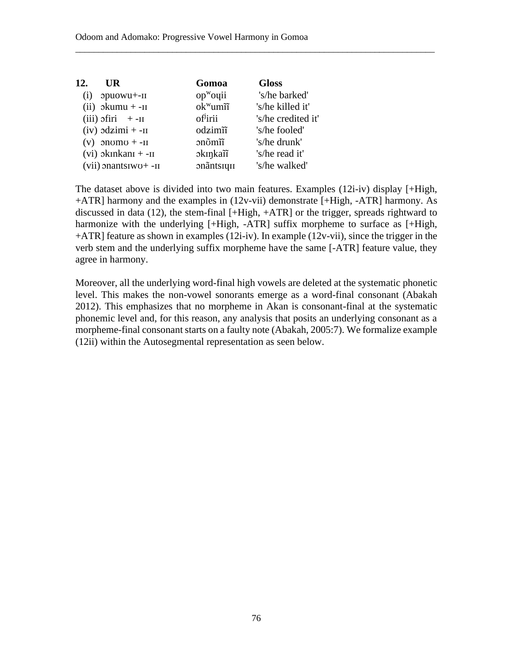| 12.                | UR.                        | Gomoa                | <b>Gloss</b>       |
|--------------------|----------------------------|----------------------|--------------------|
| $\left( 1 \right)$ | opuowu+-II                 | $opwo$ qii           | 's/he barked'      |
|                    | $(ii)$ okumu + -II         | $ok^w$ umii          | 's/he killed it'   |
|                    | $(iii)$ ofiri +-II         | of <sup>j</sup> irii | 's/he credited it' |
|                    | $(iv)$ odzimi + - $II$     | odzimi               | 's/he fooled'      |
|                    | $(v)$ onomo + -II          | onomi                | 's/he drunk'       |
|                    | $(vi)$ okinkani + - $i$    | okinkañ              | 's/he read it'     |
|                    | $(vii)$ onantsiwo+ - $\pi$ | onãntsiui            | 's/he walked'      |
|                    |                            |                      |                    |

The dataset above is divided into two main features. Examples (12i-iv) display [+High, +ATR] harmony and the examples in (12v-vii) demonstrate [+High, -ATR] harmony. As discussed in data (12), the stem-final [+High, +ATR] or the trigger, spreads rightward to harmonize with the underlying [+High, -ATR] suffix morpheme to surface as [+High, +ATR] feature as shown in examples (12i-iv). In example (12v-vii), since the trigger in the verb stem and the underlying suffix morpheme have the same [-ATR] feature value, they agree in harmony.

\_\_\_\_\_\_\_\_\_\_\_\_\_\_\_\_\_\_\_\_\_\_\_\_\_\_\_\_\_\_\_\_\_\_\_\_\_\_\_\_\_\_\_\_\_\_\_\_\_\_\_\_\_\_\_\_\_\_\_\_\_\_\_\_\_\_\_\_\_\_\_\_\_\_\_\_\_\_

Moreover, all the underlying word-final high vowels are deleted at the systematic phonetic level. This makes the non-vowel sonorants emerge as a word-final consonant (Abakah 2012). This emphasizes that no morpheme in Akan is consonant-final at the systematic phonemic level and, for this reason, any analysis that posits an underlying consonant as a morpheme-final consonant starts on a faulty note (Abakah, 2005:7). We formalize example (12ii) within the Autosegmental representation as seen below.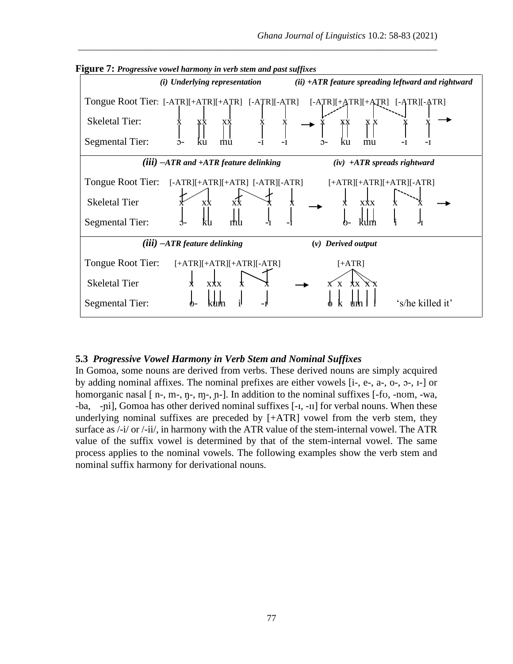

**Figure 7:** *Progressive vowel harmony in verb stem and past suffixes*

\_\_\_\_\_\_\_\_\_\_\_\_\_\_\_\_\_\_\_\_\_\_\_\_\_\_\_\_\_\_\_\_\_\_\_\_\_\_\_\_\_\_\_\_\_\_\_\_\_\_\_\_\_\_\_\_\_\_\_\_\_\_\_\_\_\_\_\_\_\_\_\_\_\_\_\_\_\_

#### **5.3** *Progressive Vowel Harmony in Verb Stem and Nominal Suffixes*

In Gomoa, some nouns are derived from verbs. These derived nouns are simply acquired by adding nominal affixes. The nominal prefixes are either vowels [i-, e-, a-, o-, ɔ-, ɪ-] or homorganic nasal [ n-, m-, n-, m-, n-]. In addition to the nominal suffixes [-fv, -nom, -wa, -ba, -ɲi], Gomoa has other derived nominal suffixes [-ɪ, -ɪɪ] for verbal nouns. When these underlying nominal suffixes are preceded by [+ATR] vowel from the verb stem, they surface as /-i/ or /-ii/, in harmony with the ATR value of the stem-internal vowel. The ATR value of the suffix vowel is determined by that of the stem-internal vowel. The same process applies to the nominal vowels. The following examples show the verb stem and nominal suffix harmony for derivational nouns.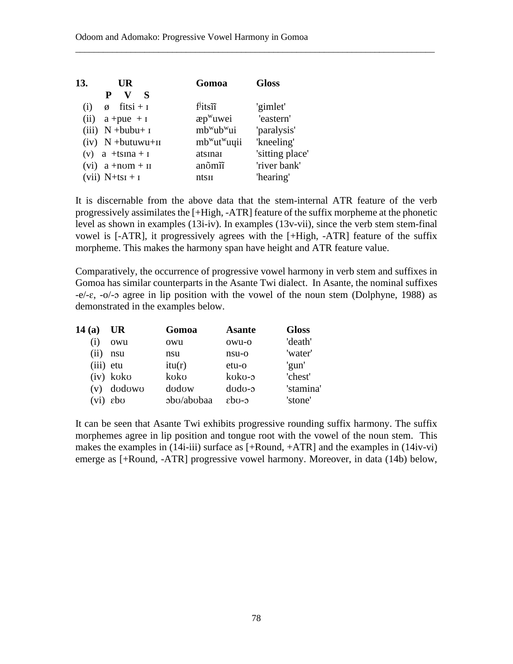| 13.                                                        |                 |
|------------------------------------------------------------|-----------------|
| v s<br>P                                                   |                 |
| $f^j$ itsii<br>$fitsi + i$<br>'gimlet'<br>(i)<br>Ø         |                 |
| $\exp^w$ uwei<br>(ii)<br>$a + pue + I$                     | 'eastern'       |
| mb <sup>w</sup> ub <sup>w</sup> ui<br>(iii) $N + bubu + I$ | 'paralysis'     |
| $(iv)$ N +butuwu+II<br>$mb^{\{w}\}ut^{\{w}\}$ uqii         | 'kneeling'      |
| (v) a $+tsina + i$<br>atsınaı                              | 'sitting place' |
| anõmîī<br>$(vi)$ a +nom + II                               | 'river bank'    |
| $(vii)$ N+tsi + i<br>ntsu                                  | 'hearing'       |

It is discernable from the above data that the stem-internal ATR feature of the verb progressively assimilates the [+High, -ATR] feature of the suffix morpheme at the phonetic level as shown in examples (13i-iv). In examples (13v-vii), since the verb stem stem-final vowel is [-ATR], it progressively agrees with the [+High, -ATR] feature of the suffix morpheme. This makes the harmony span have height and ATR feature value.

\_\_\_\_\_\_\_\_\_\_\_\_\_\_\_\_\_\_\_\_\_\_\_\_\_\_\_\_\_\_\_\_\_\_\_\_\_\_\_\_\_\_\_\_\_\_\_\_\_\_\_\_\_\_\_\_\_\_\_\_\_\_\_\_\_\_\_\_\_\_\_\_\_\_\_\_\_\_

Comparatively, the occurrence of progressive vowel harmony in verb stem and suffixes in Gomoa has similar counterparts in the Asante Twi dialect. In Asante, the nominal suffixes  $-e/-\epsilon$ ,  $-o/-\sigma$  agree in lip position with the vowel of the noun stem (Dolphyne, 1988) as demonstrated in the examples below.

| 14 (a) | UR        | Gomoa      | <b>Asante</b>     | <b>Gloss</b> |
|--------|-----------|------------|-------------------|--------------|
| (i)    | owu       | owu        | owu-o             | 'death'      |
| (ii)   | nsu       | nsu        | nsu-o             | 'water'      |
| (iii)  | etu       | itu(r)     | $etu-o$           | 'gun'        |
|        | (iv) koko | koko       | koko-5            | 'chest'      |
| (v)    | dodowo    | dodow      | $d$ odo- $\sigma$ | 'stamina'    |
| (vi)   | εbσ       | obo/abobaa | $\epsilon$ ho-o   | 'stone'      |

It can be seen that Asante Twi exhibits progressive rounding suffix harmony. The suffix morphemes agree in lip position and tongue root with the vowel of the noun stem. This makes the examples in (14i-iii) surface as [+Round, +ATR] and the examples in (14iv-vi) emerge as [+Round, -ATR] progressive vowel harmony. Moreover, in data (14b) below,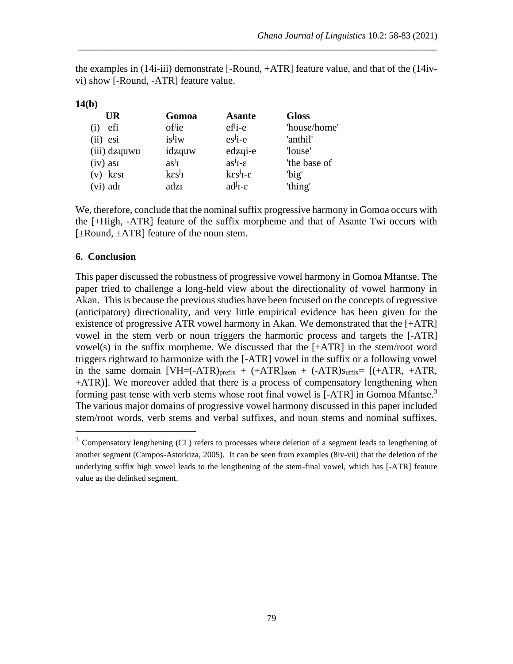the examples in (14i-iii) demonstrate [-Round, +ATR] feature value, and that of the (14ivvi) show [-Round, -ATR] feature value.

\_\_\_\_\_\_\_\_\_\_\_\_\_\_\_\_\_\_\_\_\_\_\_\_\_\_\_\_\_\_\_\_\_\_\_\_\_\_\_\_\_\_\_\_\_\_\_\_\_\_\_\_\_\_\_\_\_\_\_\_\_\_\_\_\_\_\_\_\_\_\_\_\_\_\_\_\_\_

| 14(b)         |                              |                                     |              |
|---------------|------------------------------|-------------------------------------|--------------|
| UR            | Gomoa                        | <b>Asante</b>                       | <b>Gloss</b> |
| efi<br>(1)    | of <sup>j</sup> ie           | $ef^j$ <sub>i-e</sub>               | 'house/home' |
| $(ii)$ esi    | is <sup>j</sup> iw           | es <sup>j</sup> ie                  | 'anthil'     |
| (iii) dzyuwu  | idzyuw                       | edzui-e                             | 'louse'      |
| $(iv)$ as $i$ | $as^{j}I$                    | $as^{j}I-\varepsilon$               | 'the base of |
| $(v)$ kest    | $k\epsilon s^j$ <sub>I</sub> | $k\varepsilon s^j$ I- $\varepsilon$ | 'big'        |
| (vi) adı      | adzī                         | $ad^{j}I-\varepsilon$               | 'thing'      |

We, therefore, conclude that the nominal suffix progressive harmony in Gomoa occurs with the [+High, -ATR] feature of the suffix morpheme and that of Asante Twi occurs with  $[\pm Round, \pm ATR]$  feature of the noun stem.

## **6. Conclusion**

This paper discussed the robustness of progressive vowel harmony in Gomoa Mfantse. The paper tried to challenge a long-held view about the directionality of vowel harmony in Akan. This is because the previous studies have been focused on the concepts of regressive (anticipatory) directionality, and very little empirical evidence has been given for the existence of progressive ATR vowel harmony in Akan. We demonstrated that the [+ATR] vowel in the stem verb or noun triggers the harmonic process and targets the [-ATR] vowel(s) in the suffix morpheme. We discussed that the  $[+ATR]$  in the stem/root word triggers rightward to harmonize with the [-ATR] vowel in the suffix or a following vowel in the same domain  $[VH=(-ATR)_{prefix} + (+ATR)_{stem} + (-ATR)_{stfix} = [(+ATR, +ATR,$ +ATR)]. We moreover added that there is a process of compensatory lengthening when forming past tense with verb stems whose root final vowel is [-ATR] in Gomoa Mfantse.<sup>3</sup> The various major domains of progressive vowel harmony discussed in this paper included stem/root words, verb stems and verbal suffixes, and noun stems and nominal suffixes.

<sup>&</sup>lt;sup>3</sup> Compensatory lengthening (CL) refers to processes where deletion of a segment leads to lengthening of another segment (Campos-Astorkiza, 2005). It can be seen from examples (8iv-vii) that the deletion of the underlying suffix high vowel leads to the lengthening of the stem-final vowel, which has [-ATR] feature value as the delinked segment.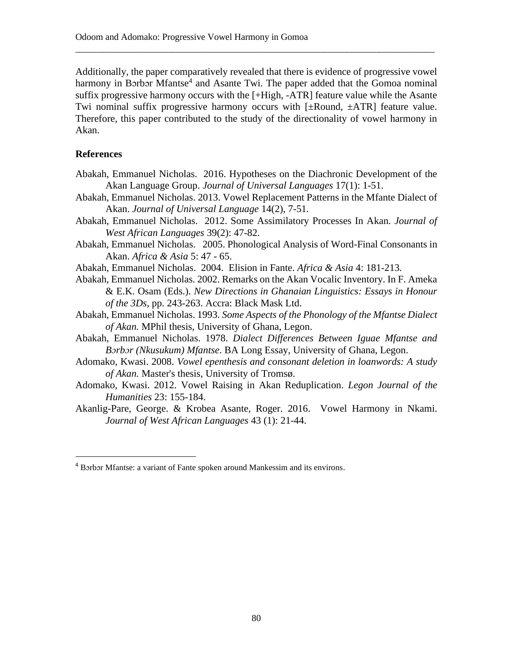Additionally, the paper comparatively revealed that there is evidence of progressive vowel harmony in Borbor Mfantse<sup>4</sup> and Asante Twi. The paper added that the Gomoa nominal suffix progressive harmony occurs with the [+High, -ATR] feature value while the Asante Twi nominal suffix progressive harmony occurs with  $[\pm R$ ound,  $\pm ATR]$  feature value. Therefore, this paper contributed to the study of the directionality of vowel harmony in Akan.

\_\_\_\_\_\_\_\_\_\_\_\_\_\_\_\_\_\_\_\_\_\_\_\_\_\_\_\_\_\_\_\_\_\_\_\_\_\_\_\_\_\_\_\_\_\_\_\_\_\_\_\_\_\_\_\_\_\_\_\_\_\_\_\_\_\_\_\_\_\_\_\_\_\_\_\_\_\_

## **References**

- Abakah, Emmanuel Nicholas. 2016. Hypotheses on the Diachronic Development of the Akan Language Group. *Journal of Universal Languages* 17(1): 1-51.
- Abakah, Emmanuel Nicholas. 2013. Vowel Replacement Patterns in the Mfante Dialect of Akan. *Journal of Universal Language* 14(2), 7-51*.*
- Abakah, Emmanuel Nicholas. 2012. Some Assimilatory Processes In Akan*. Journal of West African Languages* 39(2): 47-82.
- Abakah, Emmanuel Nicholas. 2005. Phonological Analysis of Word-Final Consonants in Akan. *Africa & Asia* 5: 47 - 65.
- Abakah, Emmanuel Nicholas. 2004. Elision in Fante. *Africa & Asia* 4: 181-213*.*
- Abakah, Emmanuel Nicholas. 2002. Remarks on the Akan Vocalic Inventory. In F. Ameka & E.K. Osam (Eds.). *New Directions in Ghanaian Linguistics: Essays in Honour of the 3Ds*, pp. 243-263. Accra: Black Mask Ltd.
- Abakah, Emmanuel Nicholas. 1993. *Some Aspects of the Phonology of the Mfantse Dialect of Akan.* MPhil thesis, University of Ghana, Legon.
- Abakah, Emmanuel Nicholas. 1978. *Dialect Differences Between Iguae Mfantse and Bɔrbɔr (Nkusukum) Mfantse*. BA Long Essay, University of Ghana, Legon.
- Adomako, Kwasi. 2008. *Vowel epenthesis and consonant deletion in loanwords: A study of Akan.* Master's thesis, University of Tromsø.
- Adomako, Kwasi. 2012. Vowel Raising in Akan Reduplication. *Legon Journal of the Humanities* 23: 155-184.
- Akanlig-Pare, George. & Krobea Asante, Roger. 2016. Vowel Harmony in Nkami. *Journal of West African Languages* 43 (1): 21-44.

<sup>4</sup> Bɔrbɔr Mfantse: a variant of Fante spoken around Mankessim and its environs.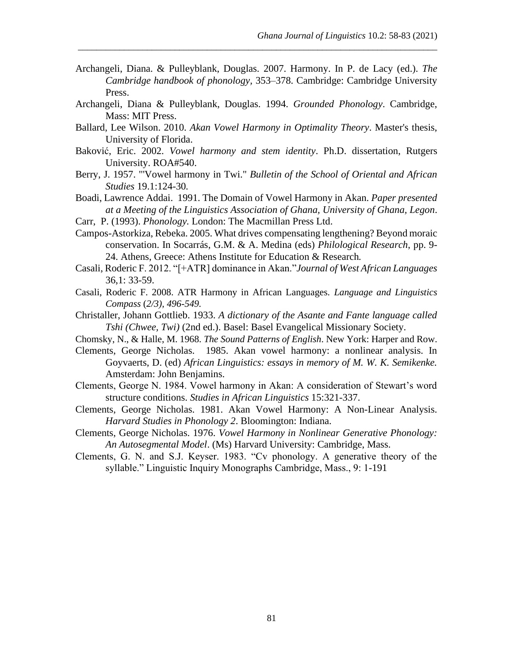Archangeli, Diana. & Pulleyblank, Douglas. 2007. Harmony. In P. de Lacy (ed.). *The Cambridge handbook of phonology,* 353–378. Cambridge: Cambridge University Press.

\_\_\_\_\_\_\_\_\_\_\_\_\_\_\_\_\_\_\_\_\_\_\_\_\_\_\_\_\_\_\_\_\_\_\_\_\_\_\_\_\_\_\_\_\_\_\_\_\_\_\_\_\_\_\_\_\_\_\_\_\_\_\_\_\_\_\_\_\_\_\_\_\_\_\_\_\_\_

- Archangeli, Diana & Pulleyblank, Douglas. 1994. *Grounded Phonology*. Cambridge, Mass: MIT Press.
- Ballard, Lee Wilson. 2010. *Akan Vowel Harmony in Optimality Theory*. Master's thesis, University of Florida.
- Baković, Eric. 2002. *Vowel harmony and stem identity*. Ph.D. dissertation, Rutgers University. ROA#540.
- Berry, J. 1957. "'Vowel harmony in Twi." *Bulletin of the School of Oriental and African Studies* 19.1:124-30*.*
- Boadi, Lawrence Addai. 1991. The Domain of Vowel Harmony in Akan. *Paper presented at a Meeting of the Linguistics Association of Ghana, University of Ghana, Legon*.
- Carr, P. (1993). *Phonology.* London: The Macmillan Press Ltd.
- Campos-Astorkiza, Rebeka. 2005. What drives compensating lengthening? Beyond moraic conservation. In Socarrás, G.M. & A. Medina (eds) *Philological Research*, pp. 9- 24. Athens, Greece: Athens Institute for Education & Research*.*
- Casali, Roderic F. 2012. "[+ATR] dominance in Akan."*Journal of West African Languages* 36,1: 33-59.
- Casali, Roderic F. 2008. ATR Harmony in African Languages. *Language and Linguistics Compass* (*2/3), 496-549.*
- Christaller, Johann Gottlieb. 1933. *A dictionary of the Asante and Fante language called Tshi (Chwee, Twi)* (2nd ed.). Basel: Basel Evangelical Missionary Society.
- Chomsky, N., & Halle, M. 1968. *The Sound Patterns of English*. New York: Harper and Row.
- Clements, George Nicholas. 1985. Akan vowel harmony: a nonlinear analysis. In Goyvaerts, D. (ed) *African Linguistics: essays in memory of M. W. K. Semikenke.*  Amsterdam: John Benjamins.
- Clements, George N. 1984. Vowel harmony in Akan: A consideration of Stewart's word structure conditions. *Studies in African Linguistics* 15:321-337.
- Clements, George Nicholas. 1981. Akan Vowel Harmony: A Non-Linear Analysis. *Harvard Studies in Phonology 2*. Bloomington: Indiana.
- Clements, George Nicholas. 1976. *Vowel Harmony in Nonlinear Generative Phonology: An Autosegmental Model*. (Ms) Harvard University: Cambridge, Mass.
- Clements, G. N. and S.J. Keyser. 1983. "Cv phonology. A generative theory of the syllable." Linguistic Inquiry Monographs Cambridge, Mass., 9: 1-191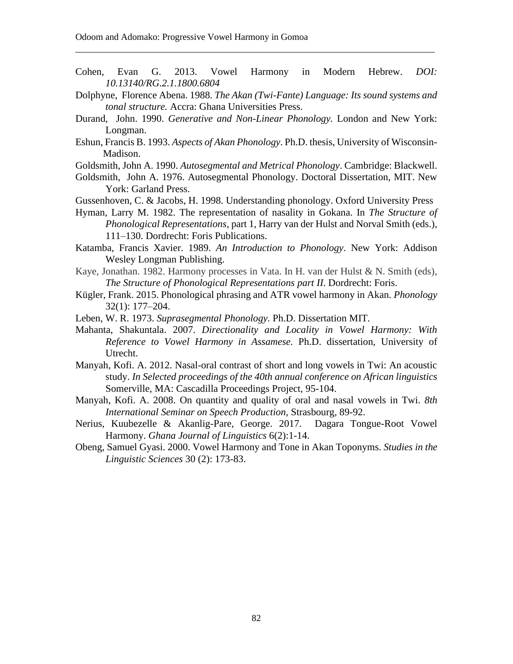Cohen, Evan G. 2013. Vowel Harmony in Modern Hebrew. *DOI: 10.13140/RG.2.1.1800.6804*

\_\_\_\_\_\_\_\_\_\_\_\_\_\_\_\_\_\_\_\_\_\_\_\_\_\_\_\_\_\_\_\_\_\_\_\_\_\_\_\_\_\_\_\_\_\_\_\_\_\_\_\_\_\_\_\_\_\_\_\_\_\_\_\_\_\_\_\_\_\_\_\_\_\_\_\_\_\_

- Dolphyne, Florence Abena. 1988. *The Akan (Twi-Fante) Language: Its sound systems and tonal structure.* Accra: Ghana Universities Press.
- Durand, John. 1990. *Generative and Non-Linear Phonology.* London and New York: Longman.
- Eshun, Francis B. 1993. *Aspects of Akan Phonology*. Ph.D. thesis, University of Wisconsin- Madison.
- Goldsmith, John A. 1990. *Autosegmental and Metrical Phonology*. Cambridge: Blackwell.
- Goldsmith, John A. 1976. Autosegmental Phonology. Doctoral Dissertation, MIT. New York: Garland Press.
- Gussenhoven, C. & Jacobs, H. 1998. Understanding phonology. Oxford University Press
- Hyman, Larry M. 1982. The representation of nasality in Gokana. In *The Structure of Phonological Representations*, part 1, Harry van der Hulst and Norval Smith (eds.), 111–130. Dordrecht: Foris Publications.
- Katamba, Francis Xavier. 1989. *An Introduction to Phonology*. New York: Addison Wesley Longman Publishing.
- Kaye, Jonathan. 1982. Harmony processes in Vata. In H. van der Hulst & N. Smith (eds), *The Structure of Phonological Representations part II*. Dordrecht: Foris.
- Kügler, Frank. 2015. Phonological phrasing and ATR vowel harmony in Akan. *Phonology*  32(1): 177–204.
- Leben, W. R. 1973. *Suprasegmental Phonology.* Ph.D. Dissertation MIT.
- Mahanta, Shakuntala. 2007. *Directionality and Locality in Vowel Harmony: With Reference to Vowel Harmony in Assamese*. Ph.D. dissertation, University of Utrecht.
- Manyah, Kofi. A. 2012. Nasal-oral contrast of short and long vowels in Twi: An acoustic study. *In Selected proceedings of the 40th annual conference on African linguistics*  Somerville, MA: Cascadilla Proceedings Project, 95-104.
- Manyah, Kofi. A. 2008. On quantity and quality of oral and nasal vowels in Twi. *8th International Seminar on Speech Production*, Strasbourg, 89-92.
- Nerius, Kuubezelle & Akanlig-Pare, George. 2017. Dagara Tongue-Root Vowel Harmony. *Ghana Journal of Linguistics* 6(2):1-14.
- Obeng, Samuel Gyasi. 2000. Vowel Harmony and Tone in Akan Toponyms. *Studies in the Linguistic Sciences* 30 (2): 173-83.